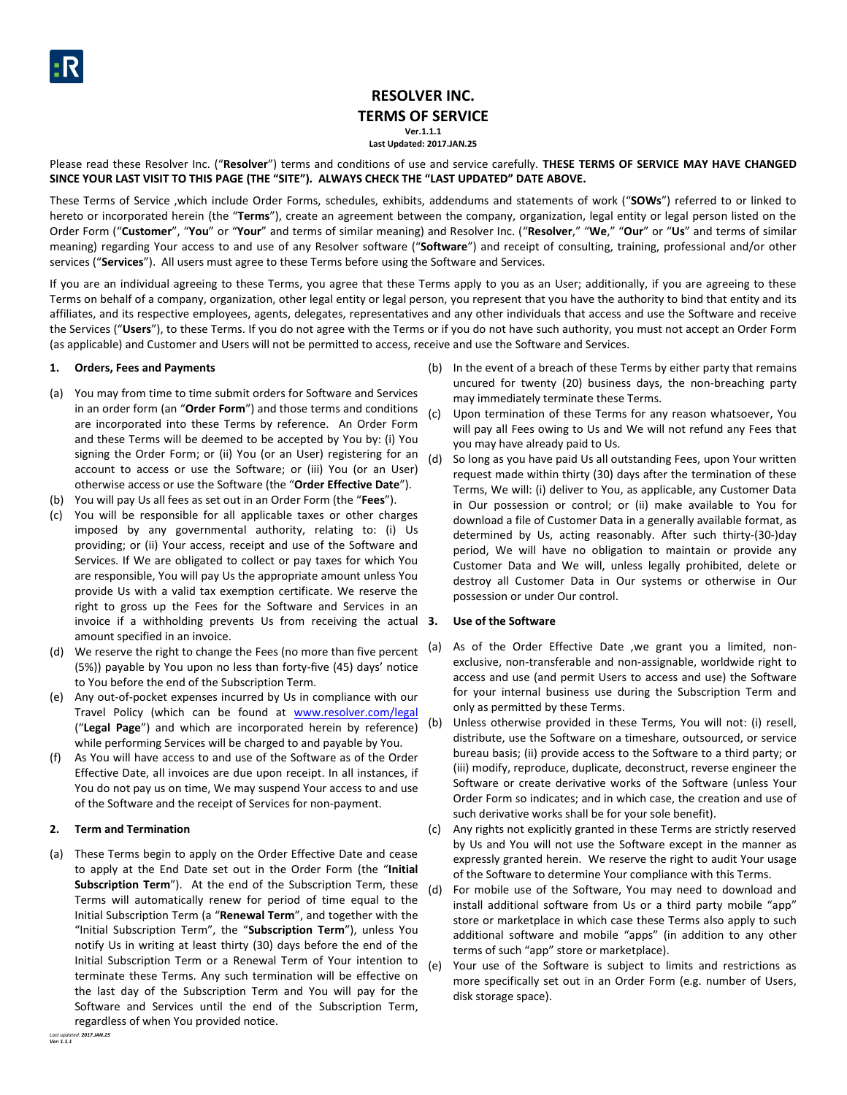

# **RESOLVER INC. TERMS OF SERVICE**

**Ver.1.1.1**

**Last Updated: 2017.JAN.25**

Please read these Resolver Inc. ("**Resolver**") terms and conditions of use and service carefully. **THESE TERMS OF SERVICE MAY HAVE CHANGED SINCE YOUR LAST VISIT TO THIS PAGE (THE "SITE"). ALWAYS CHECK THE "LAST UPDATED" DATE ABOVE.**

These Terms of Service ,which include Order Forms, schedules, exhibits, addendums and statements of work ("**SOWs**") referred to or linked to hereto or incorporated herein (the "**Terms**"), create an agreement between the company, organization, legal entity or legal person listed on the Order Form ("**Customer**", "**You**" or "**Your**" and terms of similar meaning) and Resolver Inc. ("**Resolver**," "**We**," "**Our**" or "**Us**" and terms of similar meaning) regarding Your access to and use of any Resolver software ("**Software**") and receipt of consulting, training, professional and/or other services ("**Services**"). All users must agree to these Terms before using the Software and Services.

If you are an individual agreeing to these Terms, you agree that these Terms apply to you as an User; additionally, if you are agreeing to these Terms on behalf of a company, organization, other legal entity or legal person, you represent that you have the authority to bind that entity and its affiliates, and its respective employees, agents, delegates, representatives and any other individuals that access and use the Software and receive the Services ("**Users**"), to these Terms. If you do not agree with the Terms or if you do not have such authority, you must not accept an Order Form (as applicable) and Customer and Users will not be permitted to access, receive and use the Software and Services.

# **1. Orders, Fees and Payments**

- (a) You may from time to time submit orders for Software and Services in an order form (an "**Order Form**") and those terms and conditions are incorporated into these Terms by reference. An Order Form and these Terms will be deemed to be accepted by You by: (i) You signing the Order Form; or (ii) You (or an User) registering for an account to access or use the Software; or (iii) You (or an User) otherwise access or use the Software (the "**Order Effective Date**").
- (b) You will pay Us all fees as set out in an Order Form (the "**Fees**").
- (c) You will be responsible for all applicable taxes or other charges imposed by any governmental authority, relating to: (i) Us providing; or (ii) Your access, receipt and use of the Software and Services. If We are obligated to collect or pay taxes for which You are responsible, You will pay Us the appropriate amount unless You provide Us with a valid tax exemption certificate. We reserve the right to gross up the Fees for the Software and Services in an invoice if a withholding prevents Us from receiving the actual 3. amount specified in an invoice.
- (d) We reserve the right to change the Fees (no more than five percent  $(a)$ (5%)) payable by You upon no less than forty-five (45) days' notice to You before the end of the Subscription Term.
- (e) Any out-of-pocket expenses incurred by Us in compliance with our Travel Policy (which can be found at [www.resolver.com/legal](http://www.resolver.com/legal) ("**Legal Page**") and which are incorporated herein by reference) while performing Services will be charged to and payable by You.
- (f) As You will have access to and use of the Software as of the Order Effective Date, all invoices are due upon receipt. In all instances, if You do not pay us on time, We may suspend Your access to and use of the Software and the receipt of Services for non-payment.

# **2. Term and Termination**

(a) These Terms begin to apply on the Order Effective Date and cease to apply at the End Date set out in the Order Form (the "**Initial Subscription Term**"). At the end of the Subscription Term, these Terms will automatically renew for period of time equal to the Initial Subscription Term (a "**Renewal Term**", and together with the "Initial Subscription Term", the "**Subscription Term**"), unless You notify Us in writing at least thirty (30) days before the end of the Initial Subscription Term or a Renewal Term of Your intention to terminate these Terms. Any such termination will be effective on the last day of the Subscription Term and You will pay for the Software and Services until the end of the Subscription Term, regardless of when You provided notice.

- (b) In the event of a breach of these Terms by either party that remains uncured for twenty (20) business days, the non-breaching party may immediately terminate these Terms.
- (c) Upon termination of these Terms for any reason whatsoever, You will pay all Fees owing to Us and We will not refund any Fees that you may have already paid to Us.
- (d) So long as you have paid Us all outstanding Fees, upon Your written request made within thirty (30) days after the termination of these Terms, We will: (i) deliver to You, as applicable, any Customer Data in Our possession or control; or (ii) make available to You for download a file of Customer Data in a generally available format, as determined by Us, acting reasonably. After such thirty-(30-)day period, We will have no obligation to maintain or provide any Customer Data and We will, unless legally prohibited, delete or destroy all Customer Data in Our systems or otherwise in Our possession or under Our control.

# **3. Use of the Software**

- As of the Order Effective Date , we grant you a limited, nonexclusive, non-transferable and non-assignable, worldwide right to access and use (and permit Users to access and use) the Software for your internal business use during the Subscription Term and only as permitted by these Terms.
- (b) Unless otherwise provided in these Terms, You will not: (i) resell, distribute, use the Software on a timeshare, outsourced, or service bureau basis; (ii) provide access to the Software to a third party; or (iii) modify, reproduce, duplicate, deconstruct, reverse engineer the Software or create derivative works of the Software (unless Your Order Form so indicates; and in which case, the creation and use of such derivative works shall be for your sole benefit).
- (c) Any rights not explicitly granted in these Terms are strictly reserved by Us and You will not use the Software except in the manner as expressly granted herein. We reserve the right to audit Your usage of the Software to determine Your compliance with this Terms.
- (d) For mobile use of the Software, You may need to download and install additional software from Us or a third party mobile "app" store or marketplace in which case these Terms also apply to such additional software and mobile "apps" (in addition to any other terms of such "app" store or marketplace).
- (e) Your use of the Software is subject to limits and restrictions as more specifically set out in an Order Form (e.g. number of Users, disk storage space).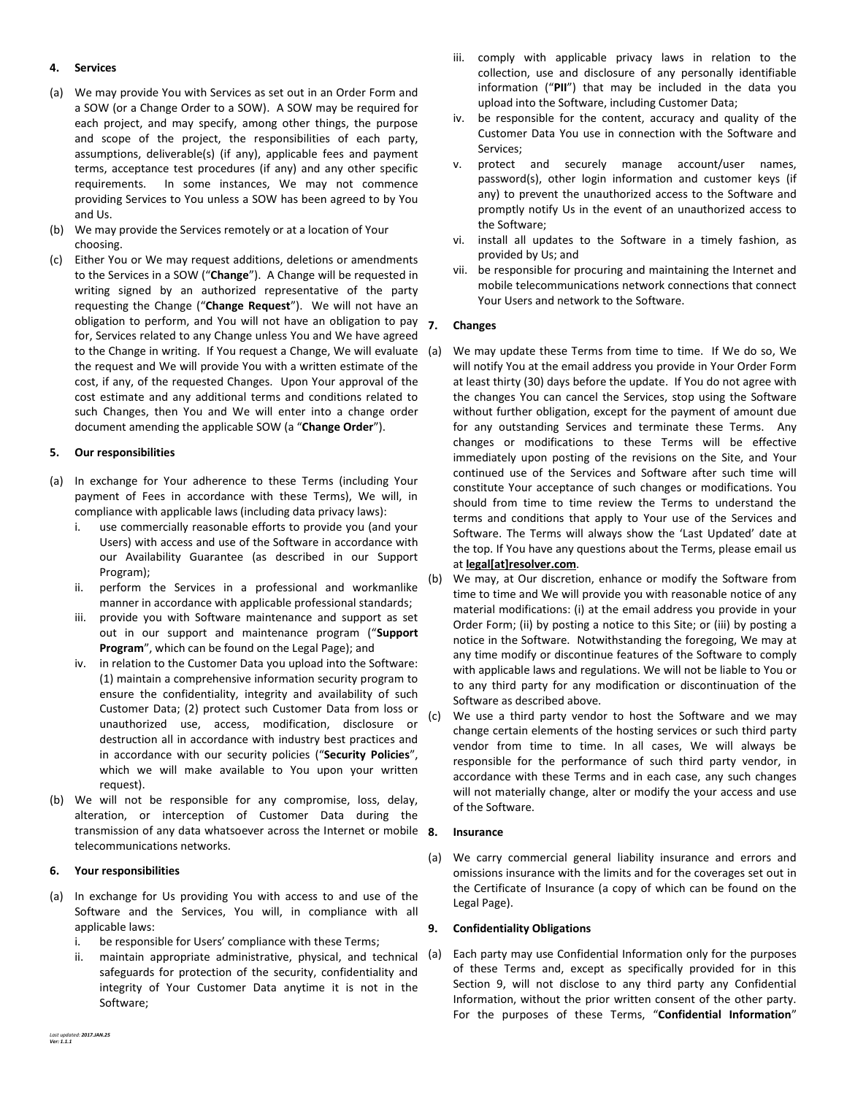# **4. Services**

- (a) We may provide You with Services as set out in an Order Form and a SOW (or a Change Order to a SOW). A SOW may be required for each project, and may specify, among other things, the purpose and scope of the project, the responsibilities of each party, assumptions, deliverable(s) (if any), applicable fees and payment terms, acceptance test procedures (if any) and any other specific requirements. In some instances, We may not commence providing Services to You unless a SOW has been agreed to by You and Us.
- (b) We may provide the Services remotely or at a location of Your choosing.
- (c) Either You or We may request additions, deletions or amendments to the Services in a SOW ("**Change**"). A Change will be requested in writing signed by an authorized representative of the party requesting the Change ("**Change Request**"). We will not have an obligation to perform, and You will not have an obligation to pay for, Services related to any Change unless You and We have agreed to the Change in writing. If You request a Change, We will evaluate the request and We will provide You with a written estimate of the cost, if any, of the requested Changes. Upon Your approval of the cost estimate and any additional terms and conditions related to such Changes, then You and We will enter into a change order document amending the applicable SOW (a "**Change Order**").

# **5. Our responsibilities**

- (a) In exchange for Your adherence to these Terms (including Your payment of Fees in accordance with these Terms), We will, in compliance with applicable laws (including data privacy laws):
	- i. use commercially reasonable efforts to provide you (and your Users) with access and use of the Software in accordance with our Availability Guarantee (as described in our Support Program);
	- ii. perform the Services in a professional and workmanlike manner in accordance with applicable professional standards;
	- iii. provide you with Software maintenance and support as set out in our support and maintenance program ("**Support Program**", which can be found on the Legal Page); and
	- iv. in relation to the Customer Data you upload into the Software: (1) maintain a comprehensive information security program to ensure the confidentiality, integrity and availability of such Customer Data; (2) protect such Customer Data from loss or unauthorized use, access, modification, disclosure or destruction all in accordance with industry best practices and in accordance with our security policies ("**Security Policies**", which we will make available to You upon your written request).
- (b) We will not be responsible for any compromise, loss, delay, alteration, or interception of Customer Data during the transmission of any data whatsoever across the Internet or mobile 8. telecommunications networks.

# **6. Your responsibilities**

- (a) In exchange for Us providing You with access to and use of the Software and the Services, You will, in compliance with all applicable laws:
	- i. be responsible for Users' compliance with these Terms;
	- ii. maintain appropriate administrative, physical, and technical (a) safeguards for protection of the security, confidentiality and integrity of Your Customer Data anytime it is not in the Software;
- iii. comply with applicable privacy laws in relation to the collection, use and disclosure of any personally identifiable information ("**PII**") that may be included in the data you upload into the Software, including Customer Data;
- iv. be responsible for the content, accuracy and quality of the Customer Data You use in connection with the Software and Services;
- v. protect and securely manage account/user names, password(s), other login information and customer keys (if any) to prevent the unauthorized access to the Software and promptly notify Us in the event of an unauthorized access to the Software;
- vi. install all updates to the Software in a timely fashion, as provided by Us; and
- vii. be responsible for procuring and maintaining the Internet and mobile telecommunications network connections that connect Your Users and network to the Software.

# **7. Changes**

- We may update these Terms from time to time. If We do so, We will notify You at the email address you provide in Your Order Form at least thirty (30) days before the update. If You do not agree with the changes You can cancel the Services, stop using the Software without further obligation, except for the payment of amount due for any outstanding Services and terminate these Terms. Any changes or modifications to these Terms will be effective immediately upon posting of the revisions on the Site, and Your continued use of the Services and Software after such time will constitute Your acceptance of such changes or modifications. You should from time to time review the Terms to understand the terms and conditions that apply to Your use of the Services and Software. The Terms will always show the 'Last Updated' date at the top. If You have any questions about the Terms, please email us at **legal[at]resolver.com**.
- (b) We may, at Our discretion, enhance or modify the Software from time to time and We will provide you with reasonable notice of any material modifications: (i) at the email address you provide in your Order Form; (ii) by posting a notice to this Site; or (iii) by posting a notice in the Software. Notwithstanding the foregoing, We may at any time modify or discontinue features of the Software to comply with applicable laws and regulations. We will not be liable to You or to any third party for any modification or discontinuation of the Software as described above.
- (c) We use a third party vendor to host the Software and we may change certain elements of the hosting services or such third party vendor from time to time. In all cases, We will always be responsible for the performance of such third party vendor, in accordance with these Terms and in each case, any such changes will not materially change, alter or modify the your access and use of the Software.

# **8. Insurance**

(a) We carry commercial general liability insurance and errors and omissions insurance with the limits and for the coverages set out in the Certificate of Insurance (a copy of which can be found on the Legal Page).

# <span id="page-1-0"></span>**9. Confidentiality Obligations**

Each party may use Confidential Information only for the purposes of these Terms and, except as specifically provided for in this Section [9,](#page-1-0) will not disclose to any third party any Confidential Information, without the prior written consent of the other party. For the purposes of these Terms, "**Confidential Information**"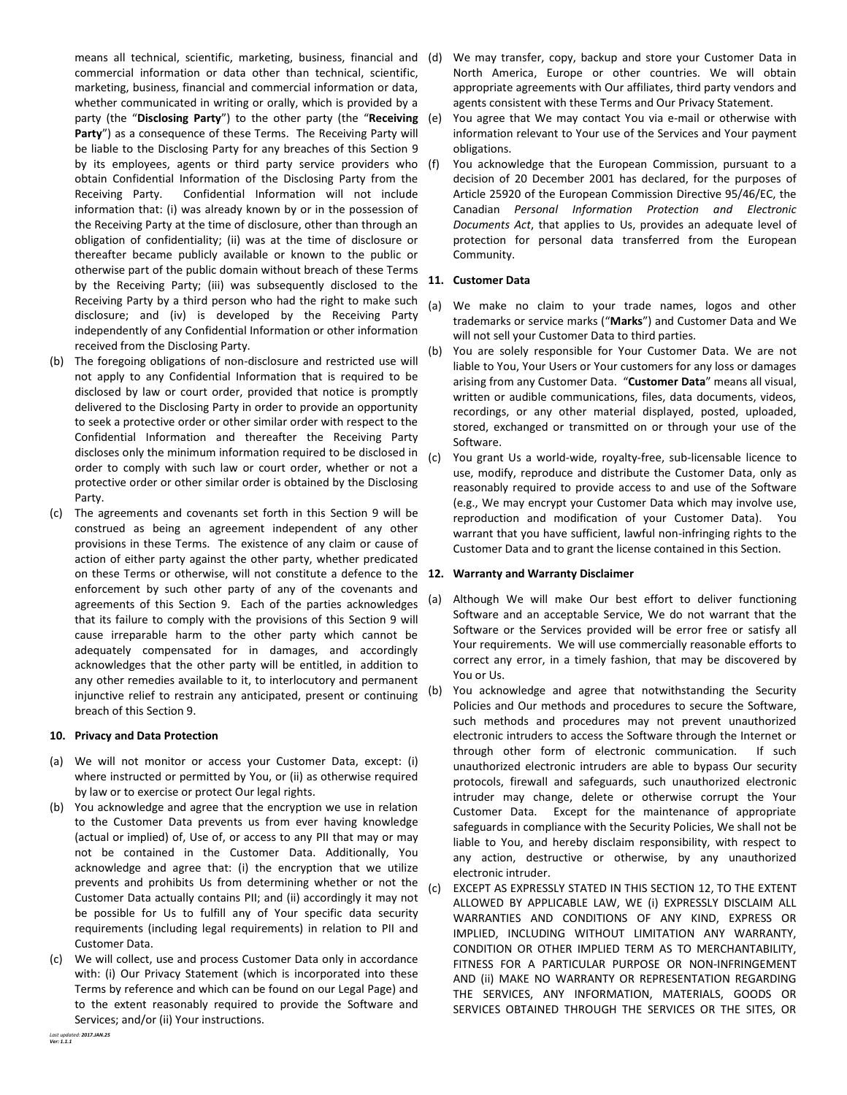means all technical, scientific, marketing, business, financial and commercial information or data other than technical, scientific, marketing, business, financial and commercial information or data, whether communicated in writing or orally, which is provided by a party (the "**Disclosing Party**") to the other party (the "**Receiving**  Party") as a consequence of these Terms. The Receiving Party will be liable to the Disclosing Party for any breaches of this Section [9](#page-1-0) by its employees, agents or third party service providers who (f) obtain Confidential Information of the Disclosing Party from the Receiving Party. Confidential Information will not include information that: (i) was already known by or in the possession of the Receiving Party at the time of disclosure, other than through an obligation of confidentiality; (ii) was at the time of disclosure or thereafter became publicly available or known to the public or otherwise part of the public domain without breach of these Terms by the Receiving Party; (iii) was subsequently disclosed to the Receiving Party by a third person who had the right to make such disclosure; and (iv) is developed by the Receiving Party independently of any Confidential Information or other information received from the Disclosing Party.

- (b) The foregoing obligations of non-disclosure and restricted use will not apply to any Confidential Information that is required to be disclosed by law or court order, provided that notice is promptly delivered to the Disclosing Party in order to provide an opportunity to seek a protective order or other similar order with respect to the Confidential Information and thereafter the Receiving Party discloses only the minimum information required to be disclosed in order to comply with such law or court order, whether or not a protective order or other similar order is obtained by the Disclosing Party.
- (c) The agreements and covenants set forth in this Section [9](#page-1-0) will be construed as being an agreement independent of any other provisions in these Terms. The existence of any claim or cause of action of either party against the other party, whether predicated on these Terms or otherwise, will not constitute a defence to the **12. Warranty and Warranty Disclaimer** enforcement by such other party of any of the covenants and agreements of this Section [9.](#page-1-0) Each of the parties acknowledges that its failure to comply with the provisions of this Section [9](#page-1-0) will cause irreparable harm to the other party which cannot be adequately compensated for in damages, and accordingly acknowledges that the other party will be entitled, in addition to any other remedies available to it, to interlocutory and permanent injunctive relief to restrain any anticipated, present or continuing breach of this Sectio[n 9.](#page-1-0)

# **10. Privacy and Data Protection**

- (a) We will not monitor or access your Customer Data, except: (i) where instructed or permitted by You, or (ii) as otherwise required by law or to exercise or protect Our legal rights.
- (b) You acknowledge and agree that the encryption we use in relation to the Customer Data prevents us from ever having knowledge (actual or implied) of, Use of, or access to any PII that may or may not be contained in the Customer Data. Additionally, You acknowledge and agree that: (i) the encryption that we utilize prevents and prohibits Us from determining whether or not the Customer Data actually contains PII; and (ii) accordingly it may not be possible for Us to fulfill any of Your specific data security requirements (including legal requirements) in relation to PII and Customer Data.
- (c) We will collect, use and process Customer Data only in accordance with: (i) Our Privacy Statement (which is incorporated into these Terms by reference and which can be found on our Legal Page) and to the extent reasonably required to provide the Software and Services; and/or (ii) Your instructions.
- We may transfer, copy, backup and store your Customer Data in North America, Europe or other countries. We will obtain appropriate agreements with Our affiliates, third party vendors and agents consistent with these Terms and Our Privacy Statement.
- You agree that We may contact You via e-mail or otherwise with information relevant to Your use of the Services and Your payment obligations.
- You acknowledge that the European Commission, pursuant to a decision of 20 December 2001 has declared, for the purposes of Article 25920 of the European Commission Directive 95/46/EC, the Canadian *Personal Information Protection and Electronic Documents Act*, that applies to Us, provides an adequate level of protection for personal data transferred from the European Community.

# **11. Customer Data**

- (a) We make no claim to your trade names, logos and other trademarks or service marks ("**Marks**") and Customer Data and We will not sell your Customer Data to third parties.
- (b) You are solely responsible for Your Customer Data. We are not liable to You, Your Users or Your customers for any loss or damages arising from any Customer Data. "**Customer Data**" means all visual, written or audible communications, files, data documents, videos, recordings, or any other material displayed, posted, uploaded, stored, exchanged or transmitted on or through your use of the Software.
- (c) You grant Us a world-wide, royalty-free, sub-licensable licence to use, modify, reproduce and distribute the Customer Data, only as reasonably required to provide access to and use of the Software (e.g., We may encrypt your Customer Data which may involve use, reproduction and modification of your Customer Data). You warrant that you have sufficient, lawful non-infringing rights to the Customer Data and to grant the license contained in this Section.

- <span id="page-2-0"></span>(a) Although We will make Our best effort to deliver functioning Software and an acceptable Service, We do not warrant that the Software or the Services provided will be error free or satisfy all Your requirements. We will use commercially reasonable efforts to correct any error, in a timely fashion, that may be discovered by You or Us.
- (b) You acknowledge and agree that notwithstanding the Security Policies and Our methods and procedures to secure the Software, such methods and procedures may not prevent unauthorized electronic intruders to access the Software through the Internet or through other form of electronic communication. If such unauthorized electronic intruders are able to bypass Our security protocols, firewall and safeguards, such unauthorized electronic intruder may change, delete or otherwise corrupt the Your Customer Data. Except for the maintenance of appropriate safeguards in compliance with the Security Policies, We shall not be liable to You, and hereby disclaim responsibility, with respect to any action, destructive or otherwise, by any unauthorized electronic intruder.
- (c) EXCEPT AS EXPRESSLY STATED IN THIS SECTIO[N 12,](#page-2-0) TO THE EXTENT ALLOWED BY APPLICABLE LAW, WE (i) EXPRESSLY DISCLAIM ALL WARRANTIES AND CONDITIONS OF ANY KIND, EXPRESS OR IMPLIED, INCLUDING WITHOUT LIMITATION ANY WARRANTY, CONDITION OR OTHER IMPLIED TERM AS TO MERCHANTABILITY, FITNESS FOR A PARTICULAR PURPOSE OR NON-INFRINGEMENT AND (ii) MAKE NO WARRANTY OR REPRESENTATION REGARDING THE SERVICES, ANY INFORMATION, MATERIALS, GOODS OR SERVICES OBTAINED THROUGH THE SERVICES OR THE SITES, OR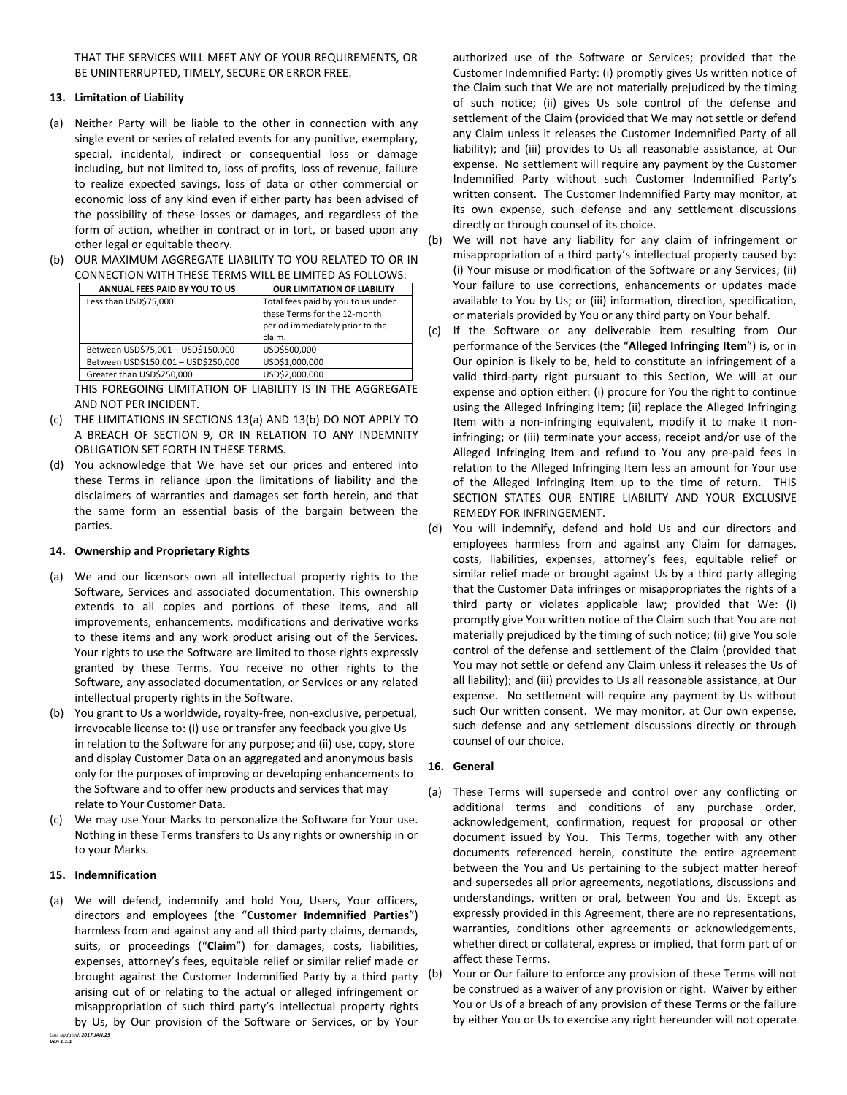THAT THE SERVICES WILL MEET ANY OF YOUR REQUIREMENTS, OR BE UNINTERRUPTED, TIMELY, SECURE OR ERROR FREE.

# **13. Limitation of Liability**

- <span id="page-3-0"></span>(a) Neither Party will be liable to the other in connection with any single event or series of related events for any punitive, exemplary, special, incidental, indirect or consequential loss or damage including, but not limited to, loss of profits, loss of revenue, failure to realize expected savings, loss of data or other commercial or economic loss of any kind even if either party has been advised of the possibility of these losses or damages, and regardless of the form of action, whether in contract or in tort, or based upon any other legal or equitable theory.
- <span id="page-3-1"></span>(b) OUR MAXIMUM AGGREGATE LIABILITY TO YOU RELATED TO OR IN CONNECTION WITH THESE TERMS WILL BE LIMITED AS FOLLOWS:

| ANNUAL FEES PAID BY YOU TO US       | <b>OUR LIMITATION OF LIABILITY</b>                                                                              |
|-------------------------------------|-----------------------------------------------------------------------------------------------------------------|
| Less than USD\$75,000               | Total fees paid by you to us under<br>these Terms for the 12-month<br>period immediately prior to the<br>claim. |
| Between USD\$75,001 - USD\$150,000  | USD\$500,000                                                                                                    |
| Between USD\$150,001 - USD\$250,000 | USD\$1,000,000                                                                                                  |
| Greater than USD\$250,000           | USD\$2,000,000                                                                                                  |

THIS FOREGOING LIMITATION OF LIABILITY IS IN THE AGGREGATE AND NOT PER INCIDENT.

- (c) THE LIMITATIONS IN SECTIONS [13\(a\)](#page-3-0) AND [13\(b\)](#page-3-1) DO NOT APPLY TO A BREACH OF SECTION [9,](#page-1-0) OR IN RELATION TO ANY INDEMNITY OBLIGATION SET FORTH IN THESE TERMS.
- (d) You acknowledge that We have set our prices and entered into these Terms in reliance upon the limitations of liability and the disclaimers of warranties and damages set forth herein, and that the same form an essential basis of the bargain between the parties.

# **14. Ownership and Proprietary Rights**

- (a) We and our licensors own all intellectual property rights to the Software, Services and associated documentation. This ownership extends to all copies and portions of these items, and all improvements, enhancements, modifications and derivative works to these items and any work product arising out of the Services. Your rights to use the Software are limited to those rights expressly granted by these Terms. You receive no other rights to the Software, any associated documentation, or Services or any related intellectual property rights in the Software.
- (b) You grant to Us a worldwide, royalty-free, non-exclusive, perpetual, irrevocable license to: (i) use or transfer any feedback you give Us in relation to the Software for any purpose; and (ii) use, copy, store and display Customer Data on an aggregated and anonymous basis only for the purposes of improving or developing enhancements to the Software and to offer new products and services that may relate to Your Customer Data.
- (c) We may use Your Marks to personalize the Software for Your use. Nothing in these Terms transfers to Us any rights or ownership in or to your Marks.

# **15. Indemnification**

*Last updated: 2017.JAN.25* (a) We will defend, indemnify and hold You, Users, Your officers, directors and employees (the "**Customer Indemnified Parties**") harmless from and against any and all third party claims, demands, suits, or proceedings ("**Claim**") for damages, costs, liabilities, expenses, attorney's fees, equitable relief or similar relief made or brought against the Customer Indemnified Party by a third party arising out of or relating to the actual or alleged infringement or misappropriation of such third party's intellectual property rights by Us, by Our provision of the Software or Services, or by Your

authorized use of the Software or Services; provided that the Customer Indemnified Party: (i) promptly gives Us written notice of the Claim such that We are not materially prejudiced by the timing of such notice; (ii) gives Us sole control of the defense and settlement of the Claim (provided that We may not settle or defend any Claim unless it releases the Customer Indemnified Party of all liability); and (iii) provides to Us all reasonable assistance, at Our expense. No settlement will require any payment by the Customer Indemnified Party without such Customer Indemnified Party's written consent. The Customer Indemnified Party may monitor, at its own expense, such defense and any settlement discussions directly or through counsel of its choice.

- (b) We will not have any liability for any claim of infringement or misappropriation of a third party's intellectual property caused by: (i) Your misuse or modification of the Software or any Services; (ii) Your failure to use corrections, enhancements or updates made available to You by Us; or (iii) information, direction, specification, or materials provided by You or any third party on Your behalf.
- (c) If the Software or any deliverable item resulting from Our performance of the Services (the "**Alleged Infringing Item**") is, or in Our opinion is likely to be, held to constitute an infringement of a valid third-party right pursuant to this Section, We will at our expense and option either: (i) procure for You the right to continue using the Alleged Infringing Item; (ii) replace the Alleged Infringing Item with a non-infringing equivalent, modify it to make it noninfringing; or (iii) terminate your access, receipt and/or use of the Alleged Infringing Item and refund to You any pre-paid fees in relation to the Alleged Infringing Item less an amount for Your use of the Alleged Infringing Item up to the time of return. THIS SECTION STATES OUR ENTIRE LIABILITY AND YOUR EXCLUSIVE REMEDY FOR INFRINGEMENT.
- (d) You will indemnify, defend and hold Us and our directors and employees harmless from and against any Claim for damages, costs, liabilities, expenses, attorney's fees, equitable relief or similar relief made or brought against Us by a third party alleging that the Customer Data infringes or misappropriates the rights of a third party or violates applicable law; provided that We: (i) promptly give You written notice of the Claim such that You are not materially prejudiced by the timing of such notice; (ii) give You sole control of the defense and settlement of the Claim (provided that You may not settle or defend any Claim unless it releases the Us of all liability); and (iii) provides to Us all reasonable assistance, at Our expense. No settlement will require any payment by Us without such Our written consent. We may monitor, at Our own expense, such defense and any settlement discussions directly or through counsel of our choice.

# **16. General**

- (a) These Terms will supersede and control over any conflicting or additional terms and conditions of any purchase order, acknowledgement, confirmation, request for proposal or other document issued by You. This Terms, together with any other documents referenced herein, constitute the entire agreement between the You and Us pertaining to the subject matter hereof and supersedes all prior agreements, negotiations, discussions and understandings, written or oral, between You and Us. Except as expressly provided in this Agreement, there are no representations, warranties, conditions other agreements or acknowledgements, whether direct or collateral, express or implied, that form part of or affect these Terms.
- (b) Your or Our failure to enforce any provision of these Terms will not be construed as a waiver of any provision or right. Waiver by either You or Us of a breach of any provision of these Terms or the failure by either You or Us to exercise any right hereunder will not operate